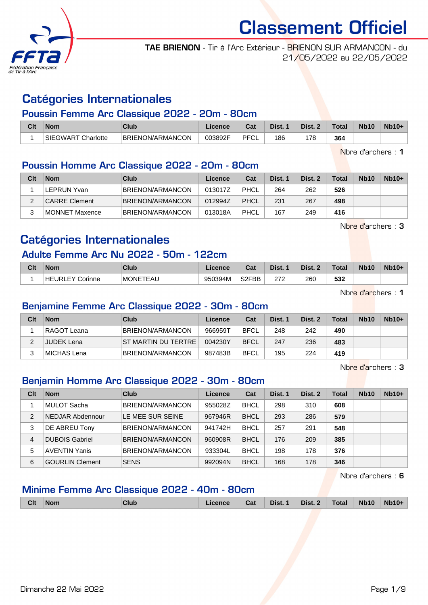

TAE BRIENON - Tir à l'Arc Extérieur - BRIENON SUR ARMANCON - du 21/05/2022 au 22/05/2022

# Catégories Internationales

### Poussin Femme Arc Classique 2022 - 20m - 80cm

| Clt | Nom                                       | <b>Club</b>      | <b>Licence</b> | ◠fi<br>ud.  | Dist. | Dist. | <b>Total</b> | <b>Nb10</b> | $Nb10+$ |
|-----|-------------------------------------------|------------------|----------------|-------------|-------|-------|--------------|-------------|---------|
|     | <b>SIEGWART</b><br>Charlotte <sup>-</sup> | BRIENON/ARMANCON | 003892F        | <b>PFCL</b> | 186   | 178   | 364          |             |         |

Nbre d'archers : 1

## Poussin Homme Arc Classique 2022 - 20m - 80cm

| Clt | <b>Nom</b>     | Club                    | Licence | Cat  | Dist. 1 | Dist. 2 | <b>Total</b> | <b>Nb10</b> | $Nb10+$ |
|-----|----------------|-------------------------|---------|------|---------|---------|--------------|-------------|---------|
|     | LEPRUN Yvan    | <b>BRIENON/ARMANCON</b> | 013017Z | PHCL | 264     | 262     | 526          |             |         |
|     | CARRE Clement  | <b>BRIENON/ARMANCON</b> | 012994Z | PHCL | 231     | 267     | 498          |             |         |
|     | MONNET Maxence | <b>BRIENON/ARMANCON</b> | 013018A | PHCL | 167     | 249     | 416          |             |         |

Nbre d'archers : 3

# Catégories Internationales

### Adulte Femme Arc Nu 2022 - 50m - 122cm

| Clt | <b>Nom</b>             | Club                      | .icence | $\sim$ of $\sim$<br>⊍م | Dist. | Dist. | <b>Total</b> | <b>Nb10</b> | <b>Nb10-</b> |
|-----|------------------------|---------------------------|---------|------------------------|-------|-------|--------------|-------------|--------------|
|     | <b>HEURLEY Corinne</b> | TEAU<br>MONE <sup>®</sup> | 950394M | S2FBB                  | 272   | 260   | coo<br>33Z   |             |              |

Nbre d'archers : 1

### Benjamine Femme Arc Classique 2022 - 30m - 80cm

| Clt | <b>Nom</b>  | Club                    | Licence | Cat         | Dist. 1 | Dist. 2 | <b>Total</b> | Nb <sub>10</sub> | $Nb10+$ |
|-----|-------------|-------------------------|---------|-------------|---------|---------|--------------|------------------|---------|
|     | RAGOT Leana | <b>BRIENON/ARMANCON</b> | 966959T | <b>BFCL</b> | 248     | 242     | 490          |                  |         |
|     | JUDEK Lena  | IST MARTIN DU TERTRE    | 004230Y | <b>BFCL</b> | 247     | 236     | 483          |                  |         |
|     | MICHAS Lena | <b>BRIENON/ARMANCON</b> | 987483B | <b>BFCL</b> | 195     | 224     | 419          |                  |         |

Nbre d'archers : 3

## Benjamin Homme Arc Classique 2022 - 30m - 80cm

| Clt | <b>Nom</b>             | Club                    | Licence | Cat         | Dist. 1 | Dist. 2 | <b>Total</b> | <b>Nb10</b> | $Nb10+$ |
|-----|------------------------|-------------------------|---------|-------------|---------|---------|--------------|-------------|---------|
|     | MULOT Sacha            | BRIENON/ARMANCON        | 955028Z | <b>BHCL</b> | 298     | 310     | 608          |             |         |
| 2   | NEDJAR Abdennour       | LE MEE SUR SEINE        | 967946R | <b>BHCL</b> | 293     | 286     | 579          |             |         |
| 3   | DE ABREU Tony          | <b>BRIENON/ARMANCON</b> | 941742H | <b>BHCL</b> | 257     | 291     | 548          |             |         |
| 4   | <b>DUBOIS Gabriel</b>  | BRIENON/ARMANCON        | 960908R | <b>BHCL</b> | 176     | 209     | 385          |             |         |
| 5   | <b>AVENTIN Yanis</b>   | BRIENON/ARMANCON        | 933304L | <b>BHCL</b> | 198     | 178     | 376          |             |         |
| 6   | <b>GOURLIN Clement</b> | <b>SENS</b>             | 992094N | <b>BHCL</b> | 168     | 178     | 346          |             |         |

Nbre d'archers : 6

### Minime Femme Arc Classique 2022 - 40m - 80cm

| Clt | <b>Nom</b> | Club | .icence | Cat | Dist. 1 | Dist. 2 | Total | <b>Nb10</b> | <b>Nb10+</b> |
|-----|------------|------|---------|-----|---------|---------|-------|-------------|--------------|
|     |            |      |         |     |         |         |       |             |              |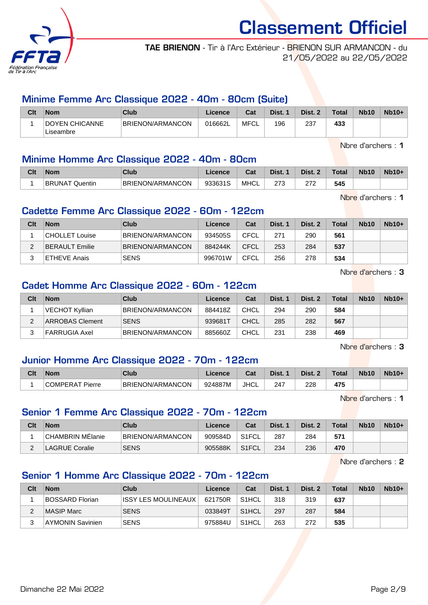

TAE BRIENON - Tir à l'Arc Extérieur - BRIENON SUR ARMANCON - du 21/05/2022 au 22/05/2022

### Minime Femme Arc Classique 2022 - 40m - 80cm (Suite)

| Clt | <b>Nom</b>            | Club             | Licence | Cat  | Dist. | Dist. | <b>Total</b> | <b>Nb10</b> | $Nb10+$ |
|-----|-----------------------|------------------|---------|------|-------|-------|--------------|-------------|---------|
|     | <b>DOYEN CHICANNE</b> | BRIENON/ARMANCON | 016662L | MFCL | 196   | 237   | 433          |             |         |
|     | ∟iseambre             |                  |         |      |       |       |              |             |         |

Nbre d'archers : 1

### Minime Homme Arc Classique 2022 - 40m - 80cm

| Clt | Nom                      | Club             | .icence | ີລະ<br>bat  | Dist.       | Dist. | Total | <b>Nb10</b> | <b>Nb10+</b> |
|-----|--------------------------|------------------|---------|-------------|-------------|-------|-------|-------------|--------------|
|     | <b>BRUNAT</b><br>Quentin | BRIENON/ARMANCON | 933631S | <b>MHCL</b> | הדה<br>ں ہے | ヘラペ   | 545   |             |              |

Nbre d'archers : 1

### Cadette Femme Arc Classique 2022 - 60m - 122cm

| Clt | <b>Nom</b>            | Club                    | Licence | Cat         | Dist. 1 | Dist. 2 | <b>Total</b> | <b>Nb10</b> | $Nb10+$ |
|-----|-----------------------|-------------------------|---------|-------------|---------|---------|--------------|-------------|---------|
|     | CHOLLET Louise        | <b>BRIENON/ARMANCON</b> | 934505S | CFCL        | 271     | 290     | 561          |             |         |
| ົ   | <b>BERAULT Emilie</b> | BRIENON/ARMANCON        | 884244K | CFCL        | 253     | 284     | 537          |             |         |
|     | <b>ETHEVE Anais</b>   | <b>SENS</b>             | 996701W | <b>CFCL</b> | 256     | 278     | 534          |             |         |

Nbre d'archers : 3

# Cadet Homme Arc Classique 2022 - 60m - 122cm

| Clt | <b>Nom</b>             | Club                    | Licence | Cat         | Dist. 1 | Dist. 2 | <b>Total</b> | <b>Nb10</b> | $Nb10+$ |
|-----|------------------------|-------------------------|---------|-------------|---------|---------|--------------|-------------|---------|
|     | VECHOT Kyllian         | <b>BRIENON/ARMANCON</b> | 884418Z | CHCL        | 294     | 290     | 584          |             |         |
|     | <b>ARROBAS Clement</b> | <b>SENS</b>             | 939681T | <b>CHCL</b> | 285     | 282     | 567          |             |         |
|     | FARRUGIA Axel          | <b>BRIENON/ARMANCON</b> | 885660Z | CHCL        | 231     | 238     | 469          |             |         |

Nbre d'archers : 3

## Junior Homme Arc Classique 2022 - 70m - 122cm

| Clt | <b>Nom</b>                      | Club             | Licence | <b>Column</b><br>⊍aι | Dist. | Dist. | Total | <b>Nb10</b> | <b>Nb10+</b> |
|-----|---------------------------------|------------------|---------|----------------------|-------|-------|-------|-------------|--------------|
|     | COMPERAT<br><sup>-</sup> Pierre | BRIENON/ARMANCON | 924887M | JHCL                 | 247   | 228   | 475   |             |              |

Nbre d'archers : 1

### Senior 1 Femme Arc Classique 2022 - 70m - 122cm

| Clt | <b>Nom</b>              | Club             | Licence | Cat                | Dist. 1 | Dist. 2 | <b>Total</b> | <b>Nb10</b> | $Nb10+$ |
|-----|-------------------------|------------------|---------|--------------------|---------|---------|--------------|-------------|---------|
|     | <b>CHAMBRIN MElanie</b> | BRIENON/ARMANCON | 909584D | S <sub>1</sub> FCL | 287     | 284     | 571          |             |         |
|     | AGRUE Coralie           | <b>SENS</b>      | 905588K | S <sub>1</sub> FCL | 234     | 236     | 470          |             |         |

Nbre d'archers : 2

## Senior 1 Homme Arc Classique 2022 - 70m - 122cm

| Clt | <b>Nom</b>             | Club                 | Licence | Cat                | Dist. 1 | Dist. 2 | <b>Total</b> | <b>Nb10</b> | $Nb10+$ |
|-----|------------------------|----------------------|---------|--------------------|---------|---------|--------------|-------------|---------|
|     | <b>BOSSARD Florian</b> | IISSY LES MOULINEAUX | 621750R | S <sub>1</sub> HCL | 318     | 319     | 637          |             |         |
|     | MASIP Marc             | <b>SENS</b>          | 033849T | S <sub>1</sub> HCL | 297     | 287     | 584          |             |         |
| ົ   | AYMONIN Savinien       | <b>SENS</b>          | 975884U | S <sub>1</sub> HCL | 263     | 272     | 535          |             |         |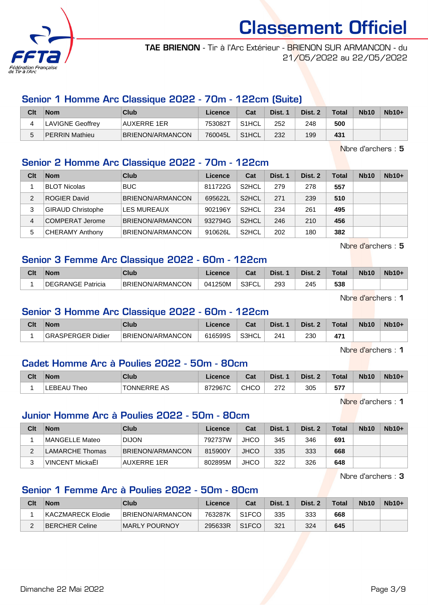

TAE BRIENON - Tir à l'Arc Extérieur - BRIENON SUR ARMANCON - du 21/05/2022 au 22/05/2022

## Senior 1 Homme Arc Classique 2022 - 70m - 122cm (Suite)

| Clt | <b>Nom</b>            | Club             | Licence | Cat                | Dist. | Dist. 2 | <b>Total</b> | <b>Nb10</b> | $Nb10+$ |
|-----|-----------------------|------------------|---------|--------------------|-------|---------|--------------|-------------|---------|
|     | LAVIGNE Geoffrey      | AUXERRE 1ER      | 753082T | S <sub>1</sub> HCL | 252   | 248     | 500          |             |         |
|     | <b>PERRIN Mathieu</b> | BRIENON/ARMANCON | 760045L | S <sub>1</sub> HCL | 232   | 199     | 431          |             |         |

Nbre d'archers : 5

## Senior 2 Homme Arc Classique 2022 - 70m - 122cm

| Clt | <b>Nom</b>               | <b>Club</b>             | Licence | Cat                | Dist. 1 | Dist. 2 | <b>Total</b> | <b>Nb10</b> | $Nb10+$ |
|-----|--------------------------|-------------------------|---------|--------------------|---------|---------|--------------|-------------|---------|
|     | <b>BLOT Nicolas</b>      | <b>BUC</b>              | 811722G | S <sub>2</sub> HCL | 279     | 278     | 557          |             |         |
| 2   | <b>ROGIER David</b>      | <b>BRIENON/ARMANCON</b> | 695622L | S <sub>2</sub> HCL | 271     | 239     | 510          |             |         |
| 3   | <b>GIRAUD Christophe</b> | LES MUREAUX             | 902196Y | S <sub>2</sub> HCL | 234     | 261     | 495          |             |         |
| 4   | COMPERAT Jerome          | <b>BRIENON/ARMANCON</b> | 932794G | S <sub>2</sub> HCL | 246     | 210     | 456          |             |         |
| 5   | <b>CHERAMY Anthony</b>   | <b>BRIENON/ARMANCON</b> | 910626L | S <sub>2</sub> HCL | 202     | 180     | 382          |             |         |

Nbre d'archers : 5

## Senior 3 Femme Arc Classique 2022 - 60m - 122cm

| Clt | <b>Nom</b>             | <b>Club</b>             | icence  | <b>Take</b><br>⊍aι          | Dist. | Dist. | <b>Total</b> | <b>Nb10</b> | $Nb10+$ |
|-----|------------------------|-------------------------|---------|-----------------------------|-------|-------|--------------|-------------|---------|
|     | <b>GRANGE Patricia</b> | <b>BRIENON/ARMANCON</b> | 041250M | <b>G3EUI</b><br>ั∪∟<br>ان ت | 293   | 245   | 538          |             |         |

Nbre d'archers : 1

### Senior 3 Homme Arc Classique 2022 - 60m - 122cm

| Clt | <b>Nom</b>               | Club             | Licence | <b>Table</b><br>⊍a | Dist. | Dist. 2 | $\tau$ otal | <b>Nb10</b> | <b>Nb10+</b> |
|-----|--------------------------|------------------|---------|--------------------|-------|---------|-------------|-------------|--------------|
|     | <b>GRASPERGER Didier</b> | BRIENON/ARMANCON | 616599S | S3HCL              | 24٬   | 230     | 17/         |             |              |

Nbre d'archers : 1

### Cadet Homme Arc à Poulies 2022 - 50m - 80cm

| Clt | <b>Nom</b>         | Club               | Licence | $R_{\rm{eff}}$<br>⊍d | Dist. | Dist. $\lambda$ | Total          | <b>Nb10</b> | $Nb10+$ |
|-----|--------------------|--------------------|---------|----------------------|-------|-----------------|----------------|-------------|---------|
|     | <b>LEBEAU Theo</b> | <b>TONNERRE AS</b> | 872967C | <b>CHCO</b>          | מדמ   | 305             | 677<br>- J / . |             |         |

Nbre d'archers : 1

### Junior Homme Arc à Poulies 2022 - 50m - 80cm

|                           |                  |         | Cat<br>Licence | Dist. 1 | Dist. 2 | Total | <b>Nb10</b> | $Nb10+$ |
|---------------------------|------------------|---------|----------------|---------|---------|-------|-------------|---------|
| MANGELLE Mateo            | <b>DIJON</b>     | 792737W | JHCO           | 345     | 346     | 691   |             |         |
| LAMARCHE Thomas<br>◠      | BRIENON/ARMANCON | 815900Y | <b>JHCO</b>    | 335     | 333     | 668   |             |         |
| VINCENT MickaËI<br>っ<br>ن | AUXERRE 1ER      | 802895M | JHCO           | 322     | 326     | 648   |             |         |

Nbre d'archers : 3

## Senior 1 Femme Arc à Poulies 2022 - 50m - 80cm

| Clt | Nom               | Club             | Licence | Cat                | Dist. 1 | Dist. 2 | <b>Total</b> | <b>Nb10</b> | $Nb10+$ |
|-----|-------------------|------------------|---------|--------------------|---------|---------|--------------|-------------|---------|
|     | KACZMARECK Elodie | BRIENON/ARMANCON | 763287K | S <sub>1</sub> FCO | 335     | 333     | 668          |             |         |
|     | BERCHER Celine    | MARLY POURNOY    | 295633R | S <sub>1</sub> FCO | 321     | 324     | 645          |             |         |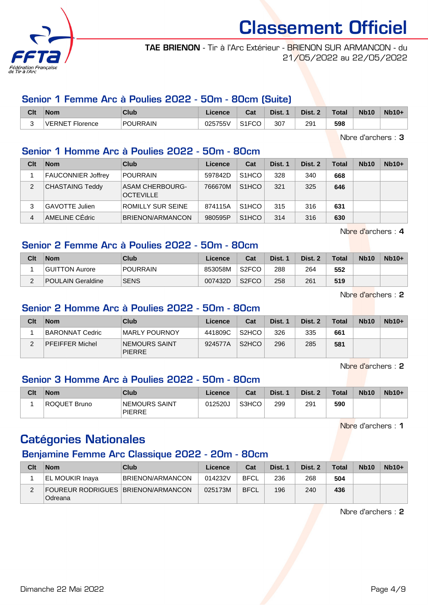

TAE BRIENON - Tir à l'Arc Extérieur - BRIENON SUR ARMANCON - du 21/05/2022 au 22/05/2022

### Senior 1 Femme Arc à Poulies 2022 - 50m - 80cm (Suite)

| Clt | <b>Nom</b>                            | Club            | Licence                 | <b>Pot</b><br>⊍⊿ | Dist. | Dist. | <b>Total</b> | <b>Nb10</b> | $Nb10+$ |
|-----|---------------------------------------|-----------------|-------------------------|------------------|-------|-------|--------------|-------------|---------|
| ີ   | VERNE <sup>.</sup><br><b>Florence</b> | <b>POURRAIN</b> | ハウドフドドル<br>755V<br>וט∠ט | S1FCO<br>۱۱ ت    | 307   | 291   | 598          |             |         |

Nbre d'archers : 3

## Senior 1 Homme Arc à Poulies 2022 - 50m - 80cm

| Clt | <b>Nom</b>            | Club                                | Licence | Cat                | Dist. 1 | Dist. 2 | Total | <b>Nb10</b> | $Nb10+$ |
|-----|-----------------------|-------------------------------------|---------|--------------------|---------|---------|-------|-------------|---------|
|     | FAUCONNIER Joffrey    | <b>POURRAIN</b>                     | 597842D | S <sub>1</sub> HCO | 328     | 340     | 668   |             |         |
| 2   | CHASTAING Teddy       | ASAM CHERBOURG-<br><b>OCTEVILLE</b> | 766670M | S <sub>1</sub> HCO | 321     | 325     | 646   |             |         |
|     | <b>GAVOTTE Julien</b> | ROMILLY SUR SEINE                   | 874115A | S <sub>1</sub> HCO | 315     | 316     | 631   |             |         |
| 4   | AMELINE CÉdric        | BRIENON/ARMANCON                    | 980595P | S <sub>1</sub> HCO | 314     | 316     | 630   |             |         |

Nbre d'archers : 4

# Senior 2 Femme Arc à Poulies 2022 - 50m - 80cm

| Clt | <b>Nom</b>        | <b>Club</b>     | Licence | Cat                | Dist. 1 | Dist. 2 | <b>Total</b> | <b>Nb10</b> | $Nb10+$ |
|-----|-------------------|-----------------|---------|--------------------|---------|---------|--------------|-------------|---------|
|     | GUITTON Aurore    | <b>POURRAIN</b> | 853058M | S <sub>2</sub> FCO | 288     | 264     | 552          |             |         |
| ົ   | POULAIN Geraldine | <b>SENS</b>     | 007432D | S <sub>2</sub> FCO | 258     | 261     | 519          |             |         |

Nbre d'archers : 2

## Senior 2 Homme Arc à Poulies 2022 - 50m - 80cm

| Clt | <b>Nom</b>             | Club                                  | Licence | Cat                | Dist. 1 | Dist. 2 | Total | <b>Nb10</b> | $Nb10+$ |
|-----|------------------------|---------------------------------------|---------|--------------------|---------|---------|-------|-------------|---------|
|     | BARONNAT Cedric        | MARLY POURNOY                         | 441809C | S <sub>2</sub> HCO | 326     | 335     | 661   |             |         |
| ◠   | <b>PFEIFFER Michel</b> | <b>NEMOURS SAINT</b><br><b>PIERRE</b> | 924577A | S <sub>2</sub> HCO | 296     | 285     | 581   |             |         |

Nbre d'archers : 2

## Senior 3 Homme Arc à Poulies 2022 - 50m - 80cm

| Clt | <b>Nom</b>   | Club                           | Licence | Cat   | Dist. | Dist. 2 | <b>Total</b> | <b>Nb10</b> | $Nb10+$ |
|-----|--------------|--------------------------------|---------|-------|-------|---------|--------------|-------------|---------|
|     | ROQUET Bruno | NEMOURS SAINT<br><b>PIERRE</b> | 012520J | S3HCO | 299   | 291     | 590          |             |         |

Nbre d'archers : 1

# Catégories Nationales

# Benjamine Femme Arc Classique 2022 - 20m - 80cm

| Clt | Nom                                               | Club             | Licence | Cat         | Dist. 1 | Dist. 2 | <b>Total</b> | <b>Nb10</b> | $Nb10+$ |
|-----|---------------------------------------------------|------------------|---------|-------------|---------|---------|--------------|-------------|---------|
|     | EL MOUKIR Inaya                                   | BRIENON/ARMANCON | 014232V | <b>BFCL</b> | 236     | 268     | 504          |             |         |
| ∠   | FOUREUR RODRIGUES   BRIENON/ARMANCON  <br>Odreana |                  | 025173M | <b>BFCL</b> | 196     | 240     | 436          |             |         |

Nbre d'archers : 2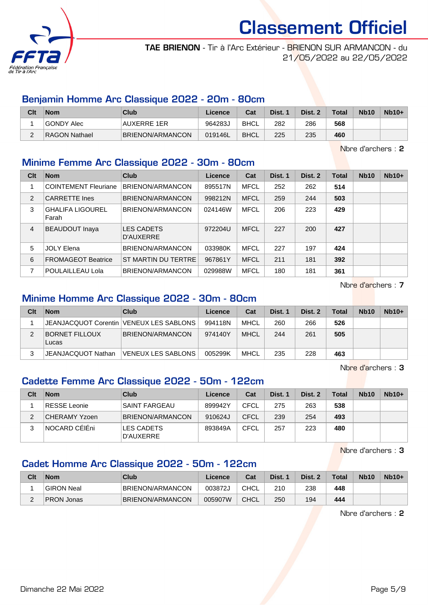

TAE BRIENON - Tir à l'Arc Extérieur - BRIENON SUR ARMANCON - du 21/05/2022 au 22/05/2022

### Benjamin Homme Arc Classique 2022 - 20m - 80cm

| Clt      | <b>Nom</b>    | Club               | Licence | Cat         | Dist. 1 | Dist. 2 | <b>Total</b> | <b>Nb10</b> | $Nb10+$ |
|----------|---------------|--------------------|---------|-------------|---------|---------|--------------|-------------|---------|
|          | GONDY Alec    | <b>AUXERRE 1ER</b> | 964283J | <b>BHCL</b> | 282     | 286     | 568          |             |         |
| <u>.</u> | RAGON Nathael | BRIENON/ARMANCON   | 019146L | <b>BHCL</b> | 225     | 235     | 460          |             |         |

Nbre d'archers : 2

### Minime Femme Arc Classique 2022 - 30m - 80cm

| Clt | <b>Nom</b>                       | Club                           | Licence | Cat         | Dist. 1 | Dist. 2 | <b>Total</b> | <b>Nb10</b> | $Nb10+$ |
|-----|----------------------------------|--------------------------------|---------|-------------|---------|---------|--------------|-------------|---------|
|     | <b>COINTEMENT Fleuriane</b>      | BRIENON/ARMANCON               | 895517N | <b>MFCL</b> | 252     | 262     | 514          |             |         |
| 2   | <b>CARRETTE Ines</b>             | BRIENON/ARMANCON               | 998212N | <b>MFCL</b> | 259     | 244     | 503          |             |         |
| 3   | <b>GHALIFA LIGOUREL</b><br>Farah | BRIENON/ARMANCON               | 024146W | <b>MFCL</b> | 206     | 223     | 429          |             |         |
| 4   | <b>BEAUDOUT Inaya</b>            | <b>LES CADETS</b><br>D'AUXERRE | 972204U | <b>MFCL</b> | 227     | 200     | 427          |             |         |
| 5   | <b>JOLY Elena</b>                | BRIENON/ARMANCON               | 033980K | <b>MFCL</b> | 227     | 197     | 424          |             |         |
| 6   | <b>FROMAGEOT Beatrice</b>        | ST MARTIN DU TERTRE            | 967861Y | <b>MFCL</b> | 211     | 181     | 392          |             |         |
| 7   | POULAILLEAU Lola                 | BRIENON/ARMANCON               | 029988W | <b>MFCL</b> | 180     | 181     | 361          |             |         |

Nbre d'archers : 7

# Minime Homme Arc Classique 2022 - 30m - 80cm

| Clt | <b>Nom</b>                     | Club                                      | Licence | Cat         | Dist. 1 | Dist. 2 | <b>Total</b> | <b>Nb10</b> | $Nb10+$ |
|-----|--------------------------------|-------------------------------------------|---------|-------------|---------|---------|--------------|-------------|---------|
|     |                                | JEANJACQUOT Corentin   VENEUX LES SABLONS | 994118N | MHCL        | 260     | 266     | 526          |             |         |
|     | <b>BORNET FILLOUX</b><br>Lucas | BRIENON/ARMANCON                          | 974140Y | <b>MHCL</b> | 244     | 261     | 505          |             |         |
|     | JEANJACQUOT Nathan             | <b>VENEUX LES SABLONS</b>                 | 005299K | <b>MHCL</b> | 235     | 228     | 463          |             |         |

Nbre d'archers : 3

## Cadette Femme Arc Classique 2022 - 50m - 122cm

| Clt | <b>Nom</b>           | Club                    | Licence | Cat         | Dist. 1 | Dist. 2 | <b>Total</b> | <b>Nb10</b> | $Nb10+$ |
|-----|----------------------|-------------------------|---------|-------------|---------|---------|--------------|-------------|---------|
|     | <b>RESSE Leonie</b>  | <b>SAINT FARGEAU</b>    | 899942Y | <b>CFCL</b> | 275     | 263     | 538          |             |         |
| ◠   | <b>CHERAMY Yzoen</b> | BRIENON/ARMANCON        | 910624J | <b>CFCL</b> | 239     | 254     | 493          |             |         |
|     | NOCARD CÉIÉni        | LES CADETS<br>D'AUXERRE | 893849A | CFCL        | 257     | 223     | 480          |             |         |

Nbre d'archers : 3

## Cadet Homme Arc Classique 2022 - 50m - 122cm

| Clt | <b>Nom</b>        | Club             | Licence | Cat         | Dist. 1 | Dist. 2 | <b>Total</b> | <b>Nb10</b> | $Nb10+$ |
|-----|-------------------|------------------|---------|-------------|---------|---------|--------------|-------------|---------|
|     | GIRON Neal        | BRIENON/ARMANCON | 003872J | <b>CHCL</b> | 210     | 238     | 448          |             |         |
|     | <b>PRON Jonas</b> | BRIENON/ARMANCON | 005907W | <b>CHCL</b> | 250     | 194     | 444          |             |         |

Nbre d'archers : 2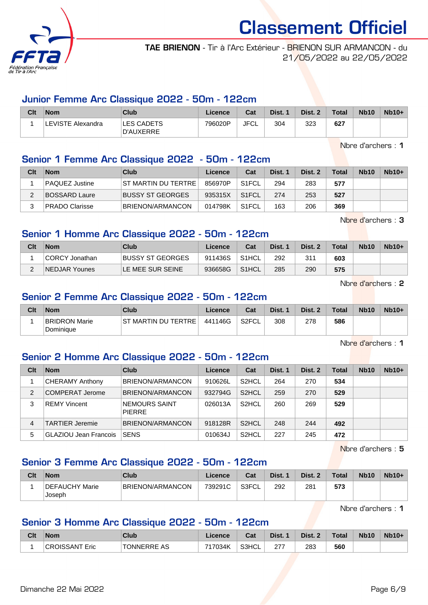

TAE BRIENON - Tir à l'Arc Extérieur - BRIENON SUR ARMANCON - du 21/05/2022 au 22/05/2022

#### Junior Femme Arc Classique 2022 - 50m - 122cm

| Clt | <b>Nom</b>        | Club                           | Licence | Cat  | Dist. 1 | Dist. 2 | Total | <b>Nb10</b> | $Nb10+$ |
|-----|-------------------|--------------------------------|---------|------|---------|---------|-------|-------------|---------|
|     | LEVISTE Alexandra | <b>LES CADETS</b><br>D'AUXERRE | 796020P | JFCL | 304     | 323     | 627   |             |         |

Nbre d'archers : 1

## Senior 1 Femme Arc Classique 2022 - 50m - 122cm

| Clt | <b>Nom</b>            | Club                    | Licence | Cat                | Dist. 1 | Dist. 2 | Total | <b>Nb10</b> | $Nb10+$ |
|-----|-----------------------|-------------------------|---------|--------------------|---------|---------|-------|-------------|---------|
|     | <b>PAQUEZ Justine</b> | ST MARTIN DU TERTRE     | 856970P | S <sub>1</sub> FCL | 294     | 283     | 577   |             |         |
| ົ   | BOSSARD Laure         | BUSSY ST GEORGES        | 935315X | S <sub>1</sub> FCL | 274     | 253     | 527   |             |         |
| 3   | PRADO Clarisse        | <b>BRIENON/ARMANCON</b> | 014798K | S <sub>1</sub> FCL | 163     | 206     | 369   |             |         |

Nbre d'archers : 3

## Senior 1 Homme Arc Classique 2022 - 50m - 122cm

| Clt | <b>Nom</b>     | Club             | Licence | Cat                | Dist. 1 | Dist. 2 | Total | <b>Nb10</b> | $Nb10+$ |
|-----|----------------|------------------|---------|--------------------|---------|---------|-------|-------------|---------|
|     | CORCY Jonathan | BUSSY ST GEORGES | 911436S | S1HCL              | 292     | 311     | 603   |             |         |
|     | NEDJAR Younes  | LE MEE SUR SEINE | 936658G | S <sub>1</sub> HCL | 285     | 290     | 575   |             |         |

Nbre d'archers : 2

# Senior 2 Femme Arc Classique 2022 - 50m - 122cm

| Clt | <b>Nom</b>                 | Club                | Licence | Cat                | Dist. | Dist. 2 | <b>Total</b> | <b>Nb10</b> | $Nb10+$ |
|-----|----------------------------|---------------------|---------|--------------------|-------|---------|--------------|-------------|---------|
|     | BRIDRON Marie<br>Dominique | ST MARTIN DU TERTRE | 441146G | S <sub>2</sub> FCL | 308   | 278     | 586          |             |         |

Nbre d'archers : 1

### Senior 2 Homme Arc Classique 2022 - 50m - 122cm

| Clt | <b>Nom</b>                   | Club                           | Licence | Cat                | Dist. 1 | Dist. 2 | Total | <b>Nb10</b> | $Nb10+$ |
|-----|------------------------------|--------------------------------|---------|--------------------|---------|---------|-------|-------------|---------|
|     | <b>CHERAMY Anthony</b>       | BRIENON/ARMANCON               | 910626L | S <sub>2</sub> HCL | 264     | 270     | 534   |             |         |
| 2   | COMPERAT Jerome              | BRIENON/ARMANCON               | 932794G | S <sub>2</sub> HCL | 259     | 270     | 529   |             |         |
| 3   | <b>REMY Vincent</b>          | NEMOURS SAINT<br><b>PIERRE</b> | 026013A | S <sub>2</sub> HCL | 260     | 269     | 529   |             |         |
| 4   | <b>TARTIER Jeremie</b>       | BRIENON/ARMANCON               | 918128R | S <sub>2</sub> HCL | 248     | 244     | 492   |             |         |
| 5   | <b>GLAZIOU Jean Francois</b> | <b>SENS</b>                    | 010634J | S <sub>2</sub> HCL | 227     | 245     | 472   |             |         |

Nbre d'archers : 5

# Senior 3 Femme Arc Classique 2022 - 50m - 122cm

| Clt | <b>Nom</b>               | Club             | Licence | Cat   | Dist. | Dist. 2 | Total | <b>Nb10</b> | $Nb10+$ |
|-----|--------------------------|------------------|---------|-------|-------|---------|-------|-------------|---------|
|     | DEFAUCHY Marie<br>Joseph | BRIENON/ARMANCON | 739291C | S3FCL | 292   | 281     | 573   |             |         |

Nbre d'archers : 1

## Senior 3 Homme Arc Classique 2022 - 50m - 122cm

| Clt | <b>Nom</b>     | Club               | Licence | <b>Column</b><br>⊍م | Dist. | Dist. | $\tau$ otal | <b>Nb10</b> | $Nb10+$ |
|-----|----------------|--------------------|---------|---------------------|-------|-------|-------------|-------------|---------|
|     | Eric<br>JISSAN | <b>TONNERRE AS</b> | 7034K   | S3HCL               | 277   | 283   | 560         |             |         |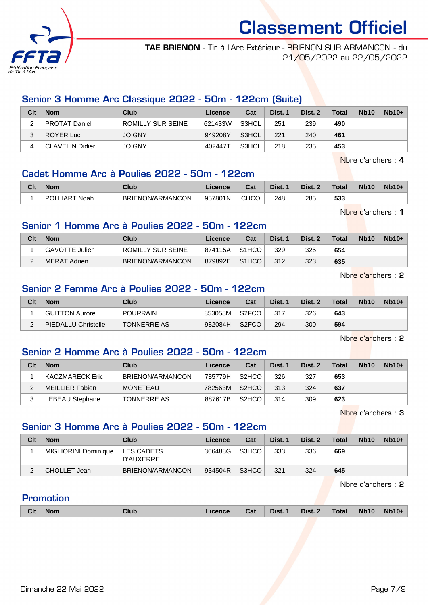

TAE BRIENON - Tir à l'Arc Extérieur - BRIENON SUR ARMANCON - du 21/05/2022 au 22/05/2022

## Senior 3 Homme Arc Classique 2022 - 50m - 122cm (Suite)

| Clt | <b>Nom</b>           | Club              | Licence | Cat   | Dist. 1 | Dist. 2 | <b>Total</b> | <b>Nb10</b> | $Nb10+$ |
|-----|----------------------|-------------------|---------|-------|---------|---------|--------------|-------------|---------|
| _   | <b>PROTAT Daniel</b> | ROMILLY SUR SEINE | 621433W | S3HCL | 251     | 239     | 490          |             |         |
|     | ROYER Luc            | <b>JOIGNY</b>     | 949208Y | S3HCL | 221     | 240     | 461          |             |         |
|     | ∣CLAVELIN Didier     | <b>JOIGNY</b>     | 402447T | S3HCL | 218     | 235     | 453          |             |         |

Nbre d'archers : 4

### Cadet Homme Arc à Poulies 2022 - 50m - 122cm

| Clt | <b>Nom</b>    | Club                    | Licence | ◠⌒፥<br>⊍⊌ | Dist. | Dist. | $\tau$ otal | <b>Nb10</b> | $Nb10+$ |
|-----|---------------|-------------------------|---------|-----------|-------|-------|-------------|-------------|---------|
|     | POLLIART Noah | <b>BRIENON/ARMANCON</b> | 957801N | CHCC      | 248   | 285   | rnn<br>ააა  |             |         |

Nbre d'archers : 1

### Senior 1 Homme Arc à Poulies 2022 - 50m - 122cm

| Clt | <b>Nom</b>     | Club                     | Licence | Cat                | Dist. 1 | Dist. 2 | <b>Total</b> | <b>Nb10</b> | $Nb10+$ |
|-----|----------------|--------------------------|---------|--------------------|---------|---------|--------------|-------------|---------|
|     | GAVOTTE Julien | <b>ROMILLY SUR SEINE</b> | 874115A | S <sub>1</sub> HCO | 329     | 325     | 654          |             |         |
|     | ∣MERAT Adrien  | BRIENON/ARMANCON         | 879892E | S <sub>1</sub> HCO | 312     | 323     | 635          |             |         |

Nbre d'archers : 2

## Senior 2 Femme Arc à Poulies 2022 - 50m - 122cm

| Clt    | <b>Nom</b>                 | Club               | Licence | Cat                | Dist. | Dist. 2 | <b>Total</b> | <b>Nb10</b> | $Nb10+$ |
|--------|----------------------------|--------------------|---------|--------------------|-------|---------|--------------|-------------|---------|
|        | GUITTON Aurore             | <b>POURRAIN</b>    | 853058M | S <sub>2</sub> FCO | 317   | 326     | 643          |             |         |
| $\sim$ | <b>PIEDALLU Christelle</b> | <b>TONNERRE AS</b> | 982084H | S <sub>2</sub> FCO | 294   | 300     | 594          |             |         |

Nbre d'archers : 2

## Senior 2 Homme Arc à Poulies 2022 - 50m - 122cm

| Clt | <b>Nom</b>       | Club               | Licence | Cat                | Dist. 1 | Dist. 2 | <b>Total</b> | <b>Nb10</b> | $Nb10+$ |
|-----|------------------|--------------------|---------|--------------------|---------|---------|--------------|-------------|---------|
|     | ∣KACZMARECK Eric | BRIENON/ARMANCON   | 785779H | S <sub>2</sub> HCO | 326     | 327     | 653          |             |         |
|     | MEILLIER Fabien  | <b>IMONETEAU</b>   | 782563M | S <sub>2</sub> HCO | 313     | 324     | 637          |             |         |
|     | LEBEAU Stephane  | <b>TONNERRE AS</b> | 887617B | S <sub>2</sub> HCO | 314     | 309     | 623          |             |         |

Nbre d'archers : 3

## Senior 3 Homme Arc à Poulies 2022 - 50m - 122cm

| Clt | <b>Nom</b>           | Club                           | Licence | Cat   | Dist. 1 | Dist. 2 | <b>Total</b> | <b>Nb10</b> | $Nb10+$ |
|-----|----------------------|--------------------------------|---------|-------|---------|---------|--------------|-------------|---------|
|     | MIGLIORINI Dominique | <b>LES CADETS</b><br>D'AUXERRE | 366488G | S3HCO | 333     | 336     | 669          |             |         |
| ∼   | CHOLLET Jean         | BRIENON/ARMANCON               | 934504R | S3HCO | 321     | 324     | 645          |             |         |

Nbre d'archers : 2

### Promotion

|  | <b>Clt</b> | <b>Nom</b> | Club | Licence | Cat | Dist. 1 | Dist. 2 | <b>Total</b> | <b>Nb10</b> | <b>Nb10+</b> |
|--|------------|------------|------|---------|-----|---------|---------|--------------|-------------|--------------|
|--|------------|------------|------|---------|-----|---------|---------|--------------|-------------|--------------|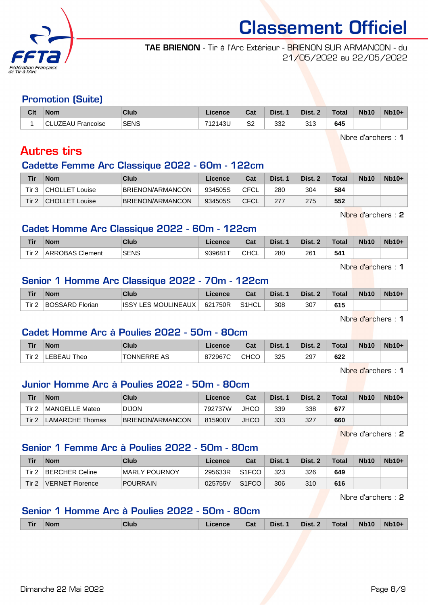

TAE BRIENON - Tir à l'Arc Extérieur - BRIENON SUR ARMANCON - du 21/05/2022 au 22/05/2022

#### Promotion (Suite)

| Clt | <b>Nom</b>       | Club        | Licence | Cat          | Dist. | Dist. 2 | <b>Total</b> | <b>Nb10</b> | $Nb10+$ |
|-----|------------------|-------------|---------|--------------|-------|---------|--------------|-------------|---------|
|     | LUZEAU Francoise | <b>SENS</b> | 712143U | S2<br>$\sim$ | 332   | 313     | 645          |             |         |

Nbre d'archers : 1

# Autres tirs

#### Cadette Femme Arc Classique 2022 - 60m - 122cm

| Tir        | <b>Nom</b>            | Club             | Licence | Cat  | Dist. | Dist. 2 | <b>Total</b> | <b>Nb10</b> | $Nb10+$ |
|------------|-----------------------|------------------|---------|------|-------|---------|--------------|-------------|---------|
| Tir 3      | <b>CHOLLET Louise</b> | BRIENON/ARMANCON | 934505S | CFCL | 280   | 304     | 584          |             |         |
| Tir $\tau$ | <b>CHOLLET Louise</b> | BRIENON/ARMANCON | 934505S | CFCL |       | 275     | 552          |             |         |

Nbre d'archers : 2

### Cadet Homme Arc Classique 2022 - 60m - 122cm

| Tir   | Nom                    | Club        | .icence | $R_{\rm{eff}}$<br>⊍α | Dist. | Dist. | <b>Total</b> | <b>Nb10</b> | $Nb10+$ |
|-------|------------------------|-------------|---------|----------------------|-------|-------|--------------|-------------|---------|
| Tir 2 | <b>ARROBAS Clement</b> | <b>SENS</b> | 939681T | <b>CHCL</b>          | 280   | 261   | 541          |             |         |

Nbre d'archers : 1

### Senior 1 Homme Arc Classique 2022 - 70m - 122cm

| <b>Tir</b>       | Nom.            | Club                | Licence | Cat    | Dist. | Dist. 2 | <b>Total</b> | <b>Nb10</b> | $Nb10+$ |
|------------------|-----------------|---------------------|---------|--------|-------|---------|--------------|-------------|---------|
| Tir <sub>2</sub> | BOSSARD Florian | ISSY LES MOULINEAUX | 621750R | `S1HCL | 308   | 307     | 615          |             |         |

Nbre d'archers : 1

### Cadet Homme Arc à Poulies 2022 - 50m - 80cm

| Tir  | Nom         | Club               | icence  | Cat         | Dist. | Dist. 2 | $\tau$ otal | <b>Nb10</b> | $Nb10+$ |
|------|-------------|--------------------|---------|-------------|-------|---------|-------------|-------------|---------|
| Tir. | LEBEAU Theo | <b>TONNERRE AS</b> | 872967C | <b>CHCO</b> | 325   | 297     | 622         |             |         |

Nbre d'archers : 1

### Junior Homme Arc à Poulies 2022 - 50m - 80cm

| Tir   | <b>Nom</b>             | Club             | Licence | Cat         | Dist. 1 | Dist. 2 | <b>Total</b> | <b>Nb10</b> | $Nb10+$ |
|-------|------------------------|------------------|---------|-------------|---------|---------|--------------|-------------|---------|
| Tir 2 | MANGELLE Mateo         | <b>DIJON</b>     | 792737W | <b>JHCO</b> | 339     | 338     | 677          |             |         |
| Tir 2 | <b>LAMARCHE Thomas</b> | BRIENON/ARMANCON | 815900Y | <b>JHCO</b> | 333     | 327     | 660          |             |         |

Nbre d'archers : 2

# Senior 1 Femme Arc à Poulies 2022 - 50m - 80cm

| Tir   | <b>Nom</b>      | Club            | Licence | Cat                | Dist. | Dist. 2 | $\tau$ otal | <b>Nb10</b> | $Nb10+$ |
|-------|-----------------|-----------------|---------|--------------------|-------|---------|-------------|-------------|---------|
| Tir 2 | BERCHER Celine  | MARLY POURNOY   | 295633R | S <sub>1</sub> FCO | 323   | 326     | 649         |             |         |
| Tir 2 | VERNET Florence | <b>POURRAIN</b> | 025755V | S <sub>1</sub> FCO | 306   | 310     | 616         |             |         |

Nbre d'archers : 2

### Senior 1 Homme Arc à Poulies 2022 - 50m - 80cm

| <b>Tir</b> | <b>Nom</b> | Club | Licence | Cat | Dist. 1 | Dist. 2 | Total | <b>Nb10</b> | <b>Nb10+</b> |
|------------|------------|------|---------|-----|---------|---------|-------|-------------|--------------|
|            |            |      |         |     |         |         |       |             |              |